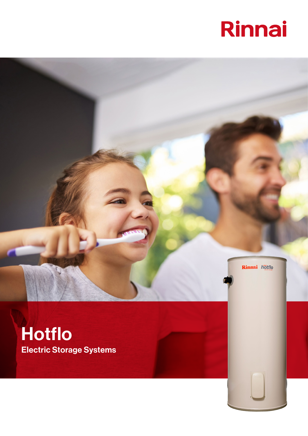# Rinnai



Rinnai hotflo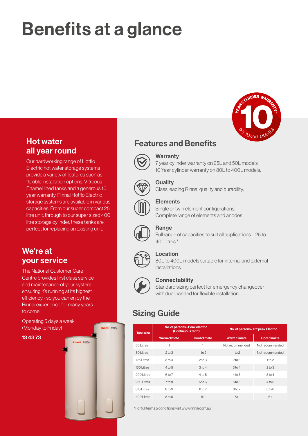## Benefits at a glance



### Hot water all year round

Our hardworking range of Hotflo Electric hot water storage systems provide a variety of features such as flexible installation options, Vitreous Enamel lined tanks and a generous 10 year warranty. Rinnai Hotflo Electric storage systems are available in various capacities. From our super compact 25 litre unit, through to our super sized 400 litre storage cylinder, these tanks are perfect for replacing an existing unit.

We're at your service

The National Customer Care Centre provides first class service and maintenance of your system, ensuring it's running at its highest efficiency - so you can enjoy the Rinnai experience for many years to come.

Operating 5 days a week (Monday to Friday)







#### **Warranty**

7 year cylinder warranty on 25L and 50L models 10 Year cylinder warranty on 80L to 400L models.



#### **Quality**

Class leading Rinnai quality and durability.



#### **Elements**

Single or twin element configurations. Complete range of elements and anodes.



#### Range

Full range of capacities to suit all applications – 25 to 400 litres.\*



#### Location

80L to 400L models suitable for internal and external installations.



**Linnai** hotflo

nai hotfic

#### **Connectability**

Standard sizing perfect for emergency changeover with dual handed for flexible installation.

### Sizing Guide

| <b>Tank size</b> |                     | No. of persons - Peak electric<br>(Continuous tariff) | No. of persons - Off peak Electric |                     |  |  |
|------------------|---------------------|-------------------------------------------------------|------------------------------------|---------------------|--|--|
|                  | <b>Warm climate</b> | <b>Cool climate</b>                                   | <b>Warm climate</b>                | <b>Cool climate</b> |  |  |
| 50 Litres        |                     |                                                       | Not recommended                    | Not recommended     |  |  |
| 80 Litres        | $2$ to $3$          | 1 to 2                                                | 1 <sub>to</sub> 2                  | Not recommended     |  |  |
| 125 Litres       | 3 <sub>to 4</sub>   | $2$ to $3$                                            | $2\times3$                         | 1 <sub>to</sub> 2   |  |  |
| 160 Litres       | $4$ to 5            | 3 <sub>to 4</sub>                                     | $3$ to 4                           | $2\times3$          |  |  |
| 2001 itres       | 6to 7               | $4$ to 5                                              | $4$ to 5                           | 3 <sub>to 4</sub>   |  |  |
| 250 Litres       | $7$ to 8            | 5 <sub>to</sub> 6                                     | 5 <sub>to</sub> 6                  | $4$ to 5            |  |  |
| 315 Litres       | $8$ to $9$          | 6to 7                                                 | 6to 7                              | 5 <sub>to</sub> 6   |  |  |
| 400 Litres       | $8$ to $9$          | $8+$                                                  | $8+$                               | $6+$                |  |  |

\*For full terms & conditions visit www.rinnai.com.au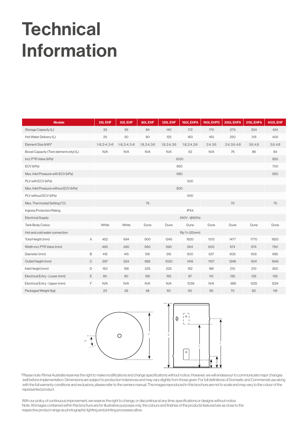## **Technical** Information

| <b>Models</b>                          |  | 25L EHF         | <b>50L EHF</b>  | <b>80L EHF</b> | 125L EHF      | <b>160L EHFA</b> | 160L EHFD | 250L EHFA     | 315L EHFA | 400L EHF |
|----------------------------------------|--|-----------------|-----------------|----------------|---------------|------------------|-----------|---------------|-----------|----------|
| Storage Capacity (L)                   |  | 33              | 55              | 84             | 140           | 172              | 170       | 279           | 334       | 424      |
| Hot Water Delivery (L)                 |  | 25              | 50              | 80             | 125           | 160              | 160       | 250           | 315       | 400      |
| Element Size (kW)#                     |  | $1-8, 2-4, 3-6$ | $1-8, 2-4, 3-6$ | 1.8, 2.4, 3.6  | 1.8, 2.4, 3.6 | 1.8, 2.4, 3.6    | 2.4, 3.6  | 2.4, 3.6, 4.8 | 3.6, 4.8  | 3.6, 4.8 |
| Boost Capacity (Twin element only) (L) |  | N/A             | N/A             | N/A            | N/A           | 53               | N/A       | 76            | 86        | 84       |
| Incl. PTR Valve (kPa)                  |  | 1000            |                 |                |               |                  |           |               |           | 850      |
| ECV (kPa)                              |  | 850             |                 |                |               |                  |           |               |           | 700      |
| Max. Inlet Pressure with ECV (kPa)     |  | 680             |                 |                |               |                  |           |               | 550       |          |
| PLV with ECV (kPa)                     |  |                 |                 |                |               | 500              |           |               |           |          |
| Max. Inlet Pressure without ECV (kPa)  |  | 800             |                 |                |               |                  |           |               |           |          |
| PLV without ECV (kPa)                  |  |                 |                 |                |               | 500              |           |               |           |          |
| Max. Thermostat Setting (°C)           |  |                 |                 | 75             |               |                  |           | 70            |           | 75       |
| Ingress Protection Rating              |  |                 |                 |                |               | IPX4             |           |               |           |          |
| <b>Electrical Supply</b>               |  | 240V - @50Hz    |                 |                |               |                  |           |               |           |          |
| <b>Tank Body Colour</b>                |  | White           | White           | Dune           | Dune          | Dune             | Dune      | Dune          | Dune      | Dune     |
| Hot and cold water connection          |  |                 |                 |                |               | Rp 3/4 (20mm)    |           |               |           |          |
| Α<br>Total Height (mm)                 |  | 452             | 694             | 900            | 1245          | 1620             | 1313      | 1477          | 1770      | 1820     |
| Width incl. PTR Valve (mm)             |  | 490             | 490             | 590            | 590           | 564              | 600       | 674           | 674       | 760      |
| B<br>Diameter (mm)                     |  | 415             | 415             | 515            | 515           | 500              | 537       | 605           | 605       | 685      |
| $\mathsf C$<br>Outlet Height (mm)      |  | 297             | 524             | 685            | 1020          | 1419             | 1107      | 1248          | 1541      | 1545     |
| D<br>Inlet Height (mm)                 |  | 153             | 158             | 225            | 225           | 162              | 186       | 210           | 210       | 260      |
| Ε<br>Electrical Entry - Lower (mm)     |  | 80              | 80              | 155            | 155           | 87               | 110       | 135           | 135       | 135      |
| F<br>Electrical Entry - Upper (mm)     |  | N/A             | N/A             | N/A            | N/A           | 1039             | N/A       | 985           | 1225      | 1224     |
| Packaged Weight (kg)                   |  | 23              | 29              | 48             | 60            | 60               | 56        | 70            | 82        | 118      |





\*Please note: Rinnai Australia reserves the right to make modifications and change specifications without notice. However, we will endeavour to communicate major changes well before implementation. Dimensions are subject to production tolerances and may vary slightly from those given. For full definitions of Domestic and Commercial use along with the full warranty conditions and exclusions, please refer to the owners manual. The images reproduced in this brochure are not to scale and may vary to the colour of the represented product.

With our policy of continuous improvement, we reserve the right to change, or discontinue at any time, specifications or designs without notice. Note: All images contained within this brochure are for illustrative purposes only, the colours and finishes of the products featured are as close to the respective product range as photographic lighting and printing processes allow.